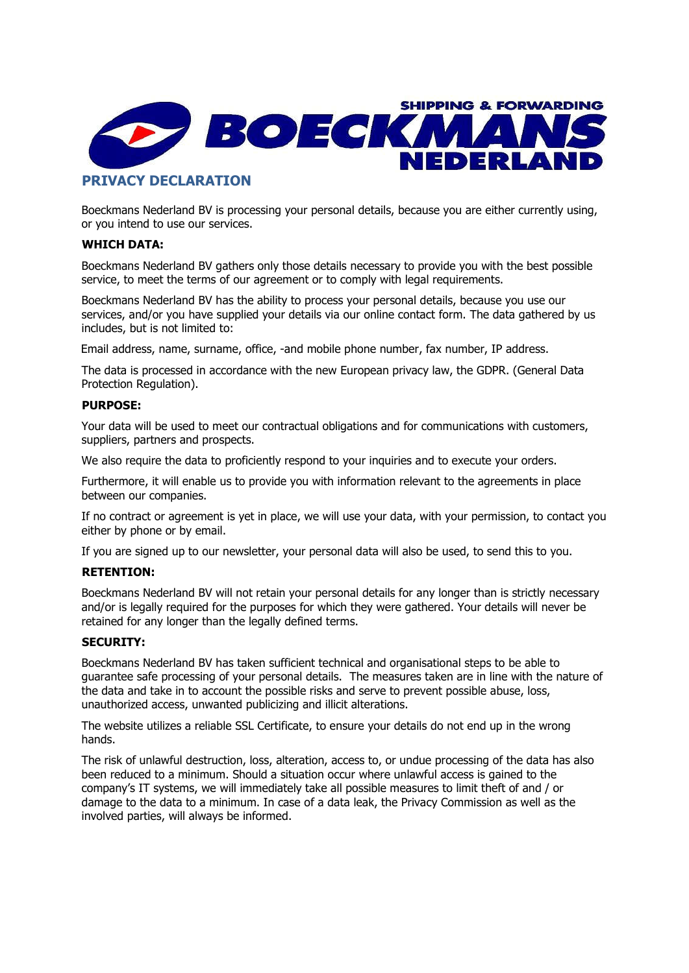

Boeckmans Nederland BV is processing your personal details, because you are either currently using, or you intend to use our services.

# WHICH DATA:

Boeckmans Nederland BV gathers only those details necessary to provide you with the best possible service, to meet the terms of our agreement or to comply with legal requirements.

Boeckmans Nederland BV has the ability to process your personal details, because you use our services, and/or you have supplied your details via our online contact form. The data gathered by us includes, but is not limited to:

Email address, name, surname, office, -and mobile phone number, fax number, IP address.

The data is processed in accordance with the new European privacy law, the GDPR. (General Data Protection Regulation).

### PURPOSE:

Your data will be used to meet our contractual obligations and for communications with customers, suppliers, partners and prospects.

We also require the data to proficiently respond to your inquiries and to execute your orders.

Furthermore, it will enable us to provide you with information relevant to the agreements in place between our companies.

If no contract or agreement is yet in place, we will use your data, with your permission, to contact you either by phone or by email.

If you are signed up to our newsletter, your personal data will also be used, to send this to you.

# RETENTION:

Boeckmans Nederland BV will not retain your personal details for any longer than is strictly necessary and/or is legally required for the purposes for which they were gathered. Your details will never be retained for any longer than the legally defined terms.

### SECURITY:

Boeckmans Nederland BV has taken sufficient technical and organisational steps to be able to guarantee safe processing of your personal details. The measures taken are in line with the nature of the data and take in to account the possible risks and serve to prevent possible abuse, loss, unauthorized access, unwanted publicizing and illicit alterations.

The website utilizes a reliable SSL Certificate, to ensure your details do not end up in the wrong hands.

The risk of unlawful destruction, loss, alteration, access to, or undue processing of the data has also been reduced to a minimum. Should a situation occur where unlawful access is gained to the company's IT systems, we will immediately take all possible measures to limit theft of and / or damage to the data to a minimum. In case of a data leak, the Privacy Commission as well as the involved parties, will always be informed.